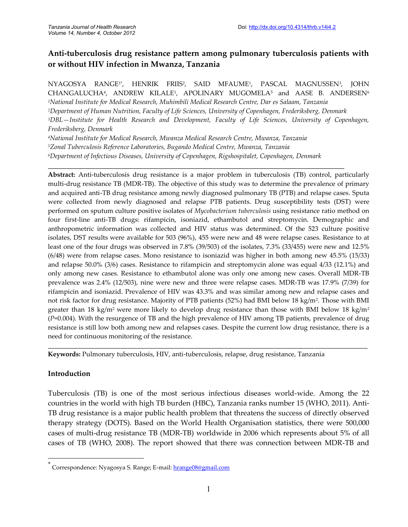# **Anti-tuberculosis drug resistance pattern among pulmonary tuberculosis patients with or without HIV infection in Mwanza, Tanzania**

NYAGOSYA RANGE1\* , HENRIK FRIIS<sup>2</sup> , SAID MFAUME<sup>1</sup> , PASCAL MAGNUSSEN<sup>3</sup> , JOHN CHANGALUCHA<sup>4</sup>, ANDREW KILALE<sup>1</sup>, APOLINARY MUGOMELA<sup>5</sup> and AASE B. ANDERSEN<sup>6</sup> *National Institute for Medical Research, Muhimbili Medical Research Centre, Dar es Salaam, Tanzania Department of Human Nutrition, Faculty of Life Sciences, University of Copenhagen, Frederiksberg, Denmark DBL—Institute for Health Research and Development, Faculty of Life Sciences, University of Copenhagen, Frederiksberg, Denmark National Institute for Medical Research, Mwanza Medical Research Centre, Mwanza, Tanzania Zonal Tuberculosis Reference Laboratories, Bugando Medical Centre, Mwanza, Tanzania*

*<sup>6</sup>Department of Infectious Diseases, University of Copenhagen, Rigshospitalet, Copenhagen, Denmark*

\_\_\_\_\_\_\_\_\_\_\_\_\_\_\_\_\_\_\_\_\_\_\_\_\_\_\_\_\_\_\_\_\_\_\_\_\_\_\_\_\_\_\_\_\_\_\_\_\_\_\_\_\_\_\_\_\_\_\_\_\_\_\_\_\_\_\_\_\_\_\_\_\_\_\_\_\_\_\_\_\_

**Abstract:** Anti-tuberculosis drug resistance is a major problem in tuberculosis (TB) control, particularly multi-drug resistance TB (MDR-TB). The objective of this study was to determine the prevalence of primary and acquired anti-TB drug resistance among newly diagnosed pulmonary TB (PTB) and relapse cases. Sputa were collected from newly diagnosed and relapse PTB patients. Drug susceptibility tests (DST) were performed on sputum culture positive isolates of *Mycobacterium tuberculosis* using resistance ratio method on four first-line anti-TB drugs: rifampicin, isoniazid, ethambutol and streptomycin. Demographic and anthropometric information was collected and HIV status was determined. Of the 523 culture positive isolates, DST results were available for 503 (96%), 455 were new and 48 were relapse cases. Resistance to at least one of the four drugs was observed in 7.8% (39/503) of the isolates, 7.3% (33/455) were new and 12.5% (6/48) were from relapse cases. Mono resistance to isoniazid was higher in both among new 45.5% (15/33) and relapse 50.0% (3/6) cases. Resistance to rifampicin and streptomycin alone was equal 4/33 (12.1%) and only among new cases. Resistance to ethambutol alone was only one among new cases. Overall MDR-TB prevalence was 2.4% (12/503), nine were new and three were relapse cases. MDR-TB was 17.9% (7/39) for rifampicin and isoniazid. Prevalence of HIV was 43.3% and was similar among new and relapse cases and not risk factor for drug resistance. Majority of PTB patients (52%) had BMI below 18 kg/m<sup>2</sup> . Those with BMI greater than 18 kg/m<sup>2</sup> were more likely to develop drug resistance than those with BMI below 18 kg/m<sup>2</sup> (*P*=0.004). With the resurgence of TB and the high prevalence of HIV among TB patients, prevalence of drug resistance is still low both among new and relapses cases. Despite the current low drug resistance, there is a need for continuous monitoring of the resistance.

**Keywords:** Pulmonary tuberculosis, HIV, anti-tuberculosis, relapse, drug resistance, Tanzania

## **Introduction**

Tuberculosis (TB) is one of the most serious infectious diseases world-wide. Among the 22 countries in the world with high TB burden (HBC), Tanzania ranks number 15 (WHO, 2011). Anti-TB drug resistance is a major public health problem that threatens the success of directly observed therapy strategy (DOTS). Based on the World Health Organisation statistics, there were 500,000 cases of multi-drug resistance TB (MDR-TB) worldwide in 2006 which represents about 5% of all cases of TB (WHO, 2008). The report showed that there was connection between MDR-TB and

**\_\_\_\_\_\_\_\_\_\_\_\_\_\_\_\_\_\_\_\_\_\_\_\_\_\_\_\_\_\_\_\_\_\_\_\_\_\_\_\_\_\_\_\_\_\_\_\_\_\_\_\_\_\_\_\_\_\_\_\_\_\_\_\_\_\_\_\_\_\_\_\_\_\_\_\_\_\_\_\_\_\_\_\_\_\_\_\_\_\_\_\_\_\_\_\_**

<sup>\*</sup> Correspondence: Nyagosya S. Range; E-mail: hrange08@gmail.com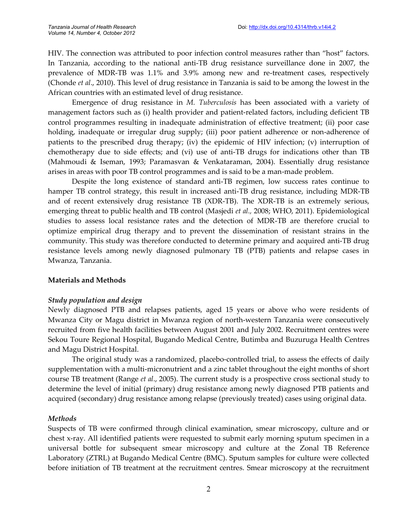HIV. The connection was attributed to poor infection control measures rather than "host" factors. In Tanzania, according to the national anti-TB drug resistance surveillance done in 2007, the prevalence of MDR-TB was 1.1% and 3.9% among new and re-treatment cases, respectively (Chonde *et al*., 2010). This level of drug resistance in Tanzania is said to be among the lowest in the African countries with an estimated level of drug resistance.

Emergence of drug resistance in *M. Tuberculosis* has been associated with a variety of management factors such as (i) health provider and patient-related factors, including deficient TB control programmes resulting in inadequate administration of effective treatment; (ii) poor case holding, inadequate or irregular drug supply; (iii) poor patient adherence or non-adherence of patients to the prescribed drug therapy; (iv) the epidemic of HIV infection; (v) interruption of chemotherapy due to side effects; and (vi) use of anti-TB drugs for indications other than TB (Mahmoudi & Iseman, 1993; Paramasvan & Venkataraman, 2004). Essentially drug resistance arises in areas with poor TB control programmes and is said to be a man-made problem.

Despite the long existence of standard anti-TB regimen, low success rates continue to hamper TB control strategy, this result in increased anti-TB drug resistance, including MDR-TB and of recent extensively drug resistance TB (XDR-TB). The XDR-TB is an extremely serious, emerging threat to public health and TB control (Masjedi *et al.,* 2008; WHO, 2011). Epidemiological studies to assess local resistance rates and the detection of MDR-TB are therefore crucial to optimize empirical drug therapy and to prevent the dissemination of resistant strains in the community. This study was therefore conducted to determine primary and acquired anti-TB drug resistance levels among newly diagnosed pulmonary TB (PTB) patients and relapse cases in Mwanza, Tanzania.

#### **Materials and Methods**

#### *Study population and design*

Newly diagnosed PTB and relapses patients, aged 15 years or above who were residents of Mwanza City or Magu district in Mwanza region of north-western Tanzania were consecutively recruited from five health facilities between August 2001 and July 2002. Recruitment centres were Sekou Toure Regional Hospital, Bugando Medical Centre, Butimba and Buzuruga Health Centres and Magu District Hospital.

The original study was a randomized, placebo-controlled trial, to assess the effects of daily supplementation with a multi-micronutrient and a zinc tablet throughout the eight months of short course TB treatment (Range *et al*., 2005). The current study is a prospective cross sectional study to determine the level of initial (primary) drug resistance among newly diagnosed PTB patients and acquired (secondary) drug resistance among relapse (previously treated) cases using original data.

#### *Methods*

Suspects of TB were confirmed through clinical examination, smear microscopy, culture and or chest x-ray. All identified patients were requested to submit early morning sputum specimen in a universal bottle for subsequent smear microscopy and culture at the Zonal TB Reference Laboratory (ZTRL) at Bugando Medical Centre (BMC). Sputum samples for culture were collected before initiation of TB treatment at the recruitment centres. Smear microscopy at the recruitment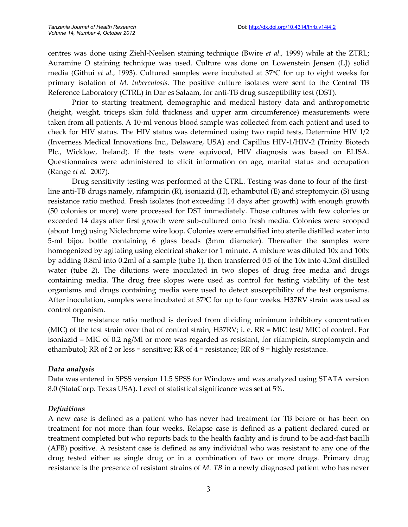centres was done using Ziehl-Neelsen staining technique (Bwire *et al.,* 1999) while at the ZTRL; Auramine O staining technique was used. Culture was done on Lowenstein Jensen (LJ) solid media (Githui *et al.,* 1993). Cultured samples were incubated at 37°C for up to eight weeks for primary isolation of *M. tuberculosis.* The positive culture isolates were sent to the Central TB Reference Laboratory (CTRL) in Dar es Salaam, for anti-TB drug susceptibility test (DST).

Prior to starting treatment, demographic and medical history data and anthropometric (height, weight, triceps skin fold thickness and upper arm circumference) measurements were taken from all patients. A 10-ml venous blood sample was collected from each patient and used to check for HIV status. The HIV status was determined using two rapid tests, Determine HIV 1/2 (Inverness Medical Innovations Inc., Delaware, USA) and Capillus HIV-1/HIV-2 (Trinity Biotech Plc., Wicklow, Ireland). If the tests were equivocal, HIV diagnosis was based on ELISA. Questionnaires were administered to elicit information on age, marital status and occupation (Range *et al.* 2007).

Drug sensitivity testing was performed at the CTRL. Testing was done to four of the firstline anti-TB drugs namely, rifampicin (R), isoniazid (H), ethambutol (E) and streptomycin (S) using resistance ratio method. Fresh isolates (not exceeding 14 days after growth) with enough growth (50 colonies or more) were processed for DST immediately. Those cultures with few colonies or exceeded 14 days after first growth were sub-cultured onto fresh media. Colonies were scooped (about 1mg) using Niclechrome wire loop. Colonies were emulsified into sterile distilled water into 5-ml bijou bottle containing 6 glass beads (3mm diameter). Thereafter the samples were homogenized by agitating using electrical shaker for 1 minute. A mixture was diluted 10x and 100x by adding 0.8ml into 0.2ml of a sample (tube 1), then transferred 0.5 of the 10x into 4.5ml distilled water (tube 2). The dilutions were inoculated in two slopes of drug free media and drugs containing media. The drug free slopes were used as control for testing viability of the test organisms and drugs containing media were used to detect susceptibility of the test organisms. After inoculation, samples were incubated at 37°C for up to four weeks. H37RV strain was used as control organism.

The resistance ratio method is derived from dividing minimum inhibitory concentration (MIC) of the test strain over that of control strain, H37RV; i. e. RR = MIC test/ MIC of control. For isoniazid = MIC of 0.2 ng/Ml or more was regarded as resistant, for rifampicin, streptomycin and ethambutol; RR of 2 or less = sensitive; RR of  $4$  = resistance; RR of  $8$  = highly resistance.

#### *Data analysis*

Data was entered in SPSS version 11.5 SPSS for Windows and was analyzed using STATA version 8.0 (StataCorp. Texas USA). Level of statistical significance was set at 5%.

#### *Definitions*

A new case is defined as a patient who has never had treatment for TB before or has been on treatment for not more than four weeks. Relapse case is defined as a patient declared cured or treatment completed but who reports back to the health facility and is found to be acid-fast bacilli (AFB) positive. A resistant case is defined as any individual who was resistant to any one of the drug tested either as single drug or in a combination of two or more drugs. Primary drug resistance is the presence of resistant strains of *M. TB* in a newly diagnosed patient who has never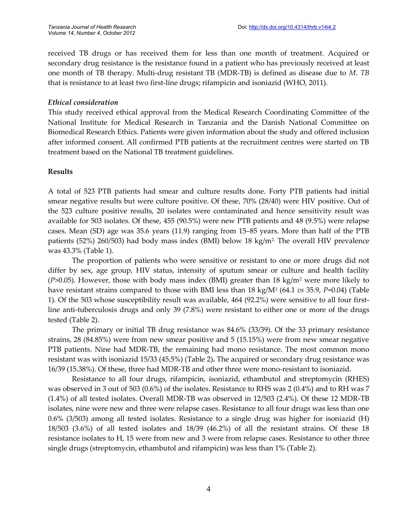received TB drugs or has received them for less than one month of treatment. Acquired or secondary drug resistance is the resistance found in a patient who has previously received at least one month of TB therapy. Multi-drug resistant TB (MDR-TB) is defined as disease due to *M*. *TB* that is resistance to at least two first-line drugs; rifampicin and isoniazid (WHO, 2011).

#### *Ethical consideration*

This study received ethical approval from the Medical Research Coordinating Committee of the National Institute for Medical Research in Tanzania and the Danish National Committee on Biomedical Research Ethics. Patients were given information about the study and offered inclusion after informed consent. All confirmed PTB patients at the recruitment centres were started on TB treatment based on the National TB treatment guidelines.

## **Results**

A total of 523 PTB patients had smear and culture results done. Forty PTB patients had initial smear negative results but were culture positive. Of these, 70% (28/40) were HIV positive. Out of the 523 culture positive results, 20 isolates were contaminated and hence sensitivity result was available for 503 isolates. Of these, 455 (90.5%) were new PTB patients and 48 (9.5%) were relapse cases. Mean (SD) age was 35.6 years (11.9) ranging from 15–85 years. More than half of the PTB patients (52%) 260/503) had body mass index (BMI) below 18 kg/m<sup>2.</sup> The overall HIV prevalence was 43.3% (Table 1).

The proportion of patients who were sensitive or resistant to one or more drugs did not differ by sex, age group, HIV status, intensity of sputum smear or culture and health facility (*P*>0.05). However, those with body mass index (BMI) greater than 18 kg/m<sup>2</sup> were more likely to have resistant strains compared to those with BMI less than 18 kg/M<sup>2</sup> (64.1 *vs* 35.9, *P*=0.04) (Table 1). Of the 503 whose susceptibility result was available, 464 (92.2%) were sensitive to all four firstline anti-tuberculosis drugs and only 39 (7.8%) were resistant to either one or more of the drugs tested (Table 2).

The primary or initial TB drug resistance was 84.6% (33/39). Of the 33 primary resistance strains, 28 (84.85%) were from new smear positive and 5 (15.15%) were from new smear negative PTB patients. Nine had MDR-TB, the remaining had mono resistance. The most common mono resistant was with isoniazid 15/33 (45.5%) (Table 2)**.** The acquired or secondary drug resistance was 16/39 (15.38%). Of these, three had MDR-TB and other three were mono-resistant to isoniazid.

Resistance to all four drugs, rifampicin, isoniazid, ethambutol and streptomycin (RHES) was observed in 3 out of 503 (0.6%) of the isolates. Resistance to RHS was 2 (0.4%) and to RH was 7 (1.4%) of all tested isolates. Overall MDR-TB was observed in 12/503 (2.4%). Of these 12 MDR-TB isolates, nine were new and three were relapse cases. Resistance to all four drugs was less than one 0.6% (3/503) among all tested isolates. Resistance to a single drug was higher for isoniazid (H) 18/503 (3.6%) of all tested isolates and 18/39 (46.2%) of all the resistant strains. Of these 18 resistance isolates to H, 15 were from new and 3 were from relapse cases. Resistance to other three single drugs (streptomycin, ethambutol and rifampicin) was less than 1% (Table 2).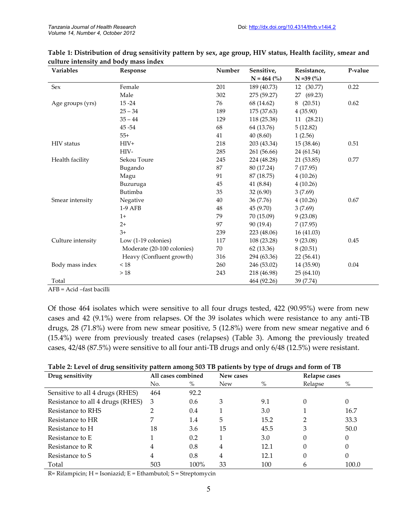| Variables         | Response                   | Number | Sensitive,    | Resistance,  | P-value |
|-------------------|----------------------------|--------|---------------|--------------|---------|
|                   |                            |        | $N = 464$ (%) | $N = 39 (%)$ |         |
| Sex               | Female                     | 201    | 189 (40.73)   | 12 (30.77)   | 0.22    |
|                   | Male                       | 302    | 275 (59.27)   | 27 (69.23)   |         |
| Age groups (yrs)  | $15 - 24$                  | 76     | 68 (14.62)    | (20.51)<br>8 | 0.62    |
|                   | $25 - 34$                  | 189    | 175 (37.63)   | 4(35.90)     |         |
|                   | $35 - 44$                  | 129    | 118 (25.38)   | 11(28.21)    |         |
|                   | 45 - 54                    | 68     | 64 (13.76)    | 5(12.82)     |         |
|                   | $55+$                      | 41     | 40(8.60)      | 1(2.56)      |         |
| <b>HIV</b> status | $HIV+$                     | 218    | 203 (43.34)   | 15 (38.46)   | 0.51    |
|                   | HIV-                       | 285    | 261 (56.66)   | 24 (61.54)   |         |
| Health facility   | Sekou Toure                | 245    | 224 (48.28)   | 21 (53.85)   | 0.77    |
|                   | Bugando                    | 87     | 80 (17.24)    | 7(17.95)     |         |
|                   | Magu                       | 91     | 87 (18.75)    | 4(10.26)     |         |
|                   | Buzuruga                   | 45     | 41 (8.84)     | 4(10.26)     |         |
|                   | Butimba                    | 35     | 32(6.90)      | 3(7.69)      |         |
| Smear intensity   | Negative                   | 40     | 36 (7.76)     | 4(10.26)     | 0.67    |
|                   | 1-9 AFB                    | 48     | 45 (9.70)     | 3(7.69)      |         |
|                   | $1+$                       | 79     | 70 (15.09)    | 9(23.08)     |         |
|                   | $2+$                       | 97     | 90 (19.4)     | 7(17.95)     |         |
|                   | $3+$                       | 239    | 223 (48.06)   | 16 (41.03)   |         |
| Culture intensity | Low $(1-19$ colonies)      | 117    | 108 (23.28)   | 9(23.08)     | 0.45    |
|                   | Moderate (20-100 colonies) | 70     | 62 (13.36)    | 8(20.51)     |         |
|                   | Heavy (Confluent growth)   | 316    | 294 (63.36)   | 22 (56.41)   |         |
| Body mass index   | < 18                       | 260    | 246 (53.02)   | 14 (35.90)   | 0.04    |
|                   | >18                        | 243    | 218 (46.98)   | 25(64.10)    |         |
| Total             |                            |        | 464 (92.26)   | 39 (7.74)    |         |

| Table 1: Distribution of drug sensitivity pattern by sex, age group, HIV status, Health facility, smear and |  |  |
|-------------------------------------------------------------------------------------------------------------|--|--|
| culture intensity and body mass index                                                                       |  |  |

AFB = Acid –fast bacilli

Of those 464 isolates which were sensitive to all four drugs tested, 422 (90.95%) were from new cases and 42 (9.1%) were from relapses. Of the 39 isolates which were resistance to any anti-TB drugs, 28 (71.8%) were from new smear positive, 5 (12.8%) were from new smear negative and 6 (15.4%) were from previously treated cases (relapses) (Table 3). Among the previously treated cases, 42/48 (87.5%) were sensitive to all four anti-TB drugs and only 6/48 (12.5%) were resistant.

| Table 2: Level of drug sensitivity pattern among 503 TB patients by type of drugs and form of TB |  |  |  |  |  |  |
|--------------------------------------------------------------------------------------------------|--|--|--|--|--|--|
|--------------------------------------------------------------------------------------------------|--|--|--|--|--|--|

| $\boldsymbol{\omega}$<br>Drug sensitivity | . .<br>All cases combined |      | ノエ<br>New cases | $\boldsymbol{\omega}$ | Relapse cases |       |
|-------------------------------------------|---------------------------|------|-----------------|-----------------------|---------------|-------|
|                                           | No.                       | $\%$ | <b>New</b>      | $\%$                  | Relapse       | $\%$  |
| Sensitive to all 4 drugs (RHES)           | 464                       | 92.2 |                 |                       |               |       |
| Resistance to all 4 drugs (RHES)          | 3                         | 0.6  | 3               | 9.1                   |               | 0     |
| Resistance to RHS                         |                           | 0.4  |                 | 3.0                   |               | 16.7  |
| Resistance to HR                          |                           | 1.4  | 5               | 15.2                  |               | 33.3  |
| Resistance to H                           | 18                        | 3.6  | 15              | 45.5                  | 3             | 50.0  |
| Resistance to E                           |                           | 0.2  |                 | 3.0                   |               | 0     |
| Resistance to R                           | 4                         | 0.8  | 4               | 12.1                  |               | 0     |
| Resistance to S                           | 4                         | 0.8  | 4               | 12.1                  | 0             | 0     |
| Total                                     | 503                       | 100% | 33              | 100                   |               | 100.0 |

R= Rifampicin; H = Isoniazid; E = Ethambutol; S = Streptomycin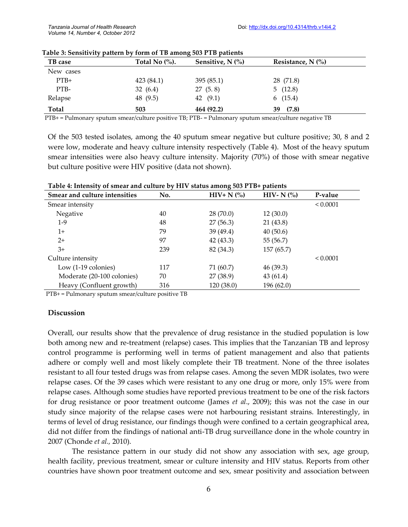| TB case      | Total No $\left(\%\right)$ . | Sensitive, $N$ $\left(\% \right)$ | Resistance, $N$ $\left(\% \right)$ |
|--------------|------------------------------|-----------------------------------|------------------------------------|
| New cases    |                              |                                   |                                    |
| $PTB+$       | 423 (84.1)                   | 395(85.1)                         | 28 (71.8)                          |
| PTB-         | 32(6.4)                      | 27(5.8)                           | 5(12.8)                            |
| Relapse      | 48 (9.5)                     | 42 $(9.1)$                        | 6(15.4)                            |
| <b>Total</b> | 503                          | 464 (92.2)                        | (7.8)<br>39                        |

**Table 3: Sensitivity pattern by form of TB among 503 PTB patients**

PTB+ = Pulmonary sputum smear/culture positive TB; PTB- = Pulmonary sputum smear/culture negative TB

Of the 503 tested isolates, among the 40 sputum smear negative but culture positive; 30, 8 and 2 were low, moderate and heavy culture intensity respectively (Table 4). Most of the heavy sputum smear intensities were also heavy culture intensity. Majority (70%) of those with smear negative but culture positive were HIV positive (data not shown).

| Smear and culture intensities | No. | ັ<br>$HIV+ N$ (%) | HIV- N $(%)$ | P-value  |
|-------------------------------|-----|-------------------|--------------|----------|
| Smear intensity               |     |                   |              | < 0.0001 |
| Negative                      | 40  | 28(70.0)          | 12(30.0)     |          |
| $1-9$                         | 48  | 27(56.3)          | 21 (43.8)    |          |
| $1+$                          | 79  | 39 (49.4)         | 40(50.6)     |          |
| $2+$                          | 97  | 42 (43.3)         | 55 (56.7)    |          |
| $3+$                          | 239 | 82 (34.3)         | 157 (65.7)   |          |
| Culture intensity             |     |                   |              | < 0.0001 |
| Low $(1-19$ colonies)         | 117 | 71 (60.7)         | 46(39.3)     |          |
| Moderate (20-100 colonies)    | 70  | 27 (38.9)         | 43(61.4)     |          |
| Heavy (Confluent growth)      | 316 | 120 (38.0)        | 196 (62.0)   |          |

**Table 4: Intensity of smear and culture by HIV status among 503 PTB+ patients**

PTB+ = Pulmonary sputum smear/culture positive TB

#### **Discussion**

Overall, our results show that the prevalence of drug resistance in the studied population is low both among new and re-treatment (relapse) cases. This implies that the Tanzanian TB and leprosy control programme is performing well in terms of patient management and also that patients adhere or comply well and most likely complete their TB treatment. None of the three isolates resistant to all four tested drugs was from relapse cases. Among the seven MDR isolates, two were relapse cases. Of the 39 cases which were resistant to any one drug or more, only 15% were from relapse cases. Although some studies have reported previous treatment to be one of the risk factors for drug resistance or poor treatment outcome (James *et al*., 2009); this was not the case in our study since majority of the relapse cases were not harbouring resistant strains. Interestingly, in terms of level of drug resistance, our findings though were confined to a certain geographical area, did not differ from the findings of national anti-TB drug surveillance done in the whole country in 2007 (Chonde *et al.,* 2010).

The resistance pattern in our study did not show any association with sex, age group, health facility, previous treatment, smear or culture intensity and HIV status. Reports from other countries have shown poor treatment outcome and sex, smear positivity and association between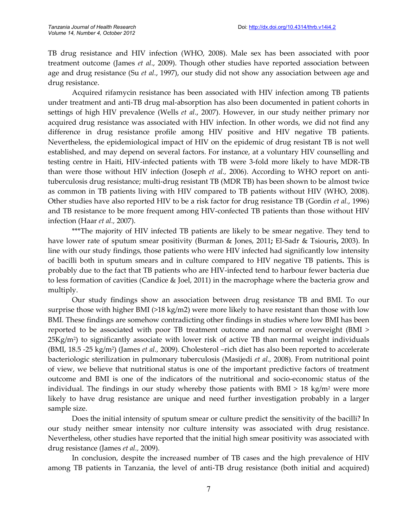TB drug resistance and HIV infection (WHO, 2008). Male sex has been associated with poor treatment outcome (James *et al*., 2009). Though other studies have reported association between age and drug resistance (Su *et al.*, 1997), our study did not show any association between age and drug resistance.

Acquired rifamycin resistance has been associated with HIV infection among TB patients under treatment and anti-TB drug mal-absorption has also been documented in patient cohorts in settings of high HIV prevalence (Wells *et al*., 2007). However, in our study neither primary nor acquired drug resistance was associated with HIV infection. In other words, we did not find any difference in drug resistance profile among HIV positive and HIV negative TB patients. Nevertheless, the epidemiological impact of HIV on the epidemic of drug resistant TB is not well established, and may depend on several factors. For instance, at a voluntary HIV counselling and testing centre in Haiti, HIV-infected patients with TB were 3-fold more likely to have MDR-TB than were those without HIV infection (Joseph *et al.,* 2006). According to WHO report on antituberculosis drug resistance; multi-drug resistant TB (MDR TB) has been shown to be almost twice as common in TB patients living with HIV compared to TB patients without HIV (WHO, 2008). Other studies have also reported HIV to be a risk factor for drug resistance TB (Gordin *et al.*, 1996) and TB resistance to be more frequent among HIV-confected TB patients than those without HIV infection (Haar *et al.,* 2007).

\*\*\*The majority of HIV infected TB patients are likely to be smear negative. They tend to have lower rate of sputum smear positivity (Burman & Jones, 2011**;** El-Sadr & Tsiouris**,** 2003). In line with our study findings, those patients who were HIV infected had significantly low intensity of bacilli both in sputum smears and in culture compared to HIV negative TB patients**.** This is probably due to the fact that TB patients who are HIV-infected tend to harbour fewer bacteria due to less formation of cavities (Candice & Joel, 2011) in the macrophage where the bacteria grow and multiply.

Our study findings show an association between drug resistance TB and BMI. To our surprise those with higher BMI (>18 kg/m2) were more likely to have resistant than those with low BMI. These findings are somehow contradicting other findings in studies where low BMI has been reported to be associated with poor TB treatment outcome and normal or overweight (BMI > 25Kg/m<sup>2</sup> ) to significantly associate with lower risk of active TB than normal weight individuals (BMI, 18.5 -25 kg/m<sup>2</sup> ) (James *et al.,* 2009). Cholesterol –rich diet has also been reported to accelerate bacteriologic sterilization in pulmonary tuberculosis (Masijedi *et al.,* 2008). From nutritional point of view, we believe that nutritional status is one of the important predictive factors of treatment outcome and BMI is one of the indicators of the nutritional and socio-economic status of the individual. The findings in our study whereby those patients with  $BMI > 18$  kg/m<sup>2</sup> were more likely to have drug resistance are unique and need further investigation probably in a larger sample size.

Does the initial intensity of sputum smear or culture predict the sensitivity of the bacilli? In our study neither smear intensity nor culture intensity was associated with drug resistance. Nevertheless, other studies have reported that the initial high smear positivity was associated with drug resistance (James *et al.,* 2009).

In conclusion, despite the increased number of TB cases and the high prevalence of HIV among TB patients in Tanzania, the level of anti-TB drug resistance (both initial and acquired)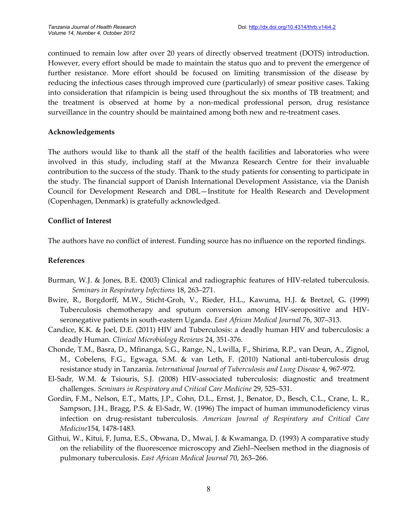continued to remain low after over 20 years of directly observed treatment (DOTS) introduction. However, every effort should be made to maintain the status quo and to prevent the emergence of further resistance. More effort should be focused on limiting transmission of the disease by reducing the infectious cases through improved cure (particularly) of smear positive cases. Taking into consideration that rifampicin is being used throughout the six months of TB treatment; and the treatment is observed at home by a non-medical professional person, drug resistance surveillance in the country should be maintained among both new and re-treatment cases.

#### **Acknowledgements**

The authors would like to thank all the staff of the health facilities and laboratories who were involved in this study, including staff at the Mwanza Research Centre for their invaluable contribution to the success of the study. Thank to the study patients for consenting to participate in the study. The financial support of Danish International Development Assistance, via the Danish Council for Development Research and DBL—Institute for Health Research and Development (Copenhagen, Denmark) is gratefully acknowledged.

## **Conflict of Interest**

The authors have no conflict of interest. Funding source has no influence on the reported findings.

#### **References**

- Burman, W.J. & Jones, B.E. **(**2003) Clinical and radiographic features of HIV-related tuberculosis. *Seminars in Respiratory Infections* 18, 263–271.
- Bwire, R., Borgdorff, M.W., Sticht-Groh, V., Rieder, H.L., Kawuma, H.J. & Bretzel, G**.** (1999) Tuberculosis chemotherapy and sputum conversion among HIV-seropositive and HIVseronegative patients in south-eastern Uganda. *East African Medical Journal* 76, 307–313.
- Candice, K.K. & Joel, D.E. (2011) HIV and Tuberculosis: a deadly human HIV and tuberculosis: a deadly Human. *Clinical Microbiology Reviews* 24, 351-376.
- Chonde, T.M., Basra, D., Mfinanga, S.G., Range, N., Lwilla, F., Shirima, R.P., van Deun, A., Zignol, M., Cobelens, F.G., Egwaga, S.M. & van Leth, F. (2010) National anti-tuberculosis drug resistance study in Tanzania. *International Journal of Tuberculosis and Lung Disease* 4, 967-972.
- El-Sadr, W.M. & Tsiouris, S.J. (2008) HIV-associated tuberculosis: diagnostic and treatment challenges. *Seminars in Respiratory and Critical Care Medicine* 29, 525–531.
- Gordin, F.M., Nelson, E.T., Matts, J.P., Cohn, D.L., Ernst, J., Benator, D., Besch, C.L., Crane, L. R., Sampson, J.H., Bragg, P.S. & El-Sadr, W. (1996) The impact of human immunodeficiency virus infection on drug-resistant tuberculosis. *American Journal of Respiratory and Critical Care Medicine*154, 1478-1483.
- Githui, W., Kitui, F, Juma, E.S., Obwana, D., Mwai, J. & Kwamanga, D. (1993) A comparative study on the reliability of the fluorescence microscopy and Ziehl–Neelsen method in the diagnosis of pulmonary tuberculosis. *East African Medical Journal* 70, 263–266.